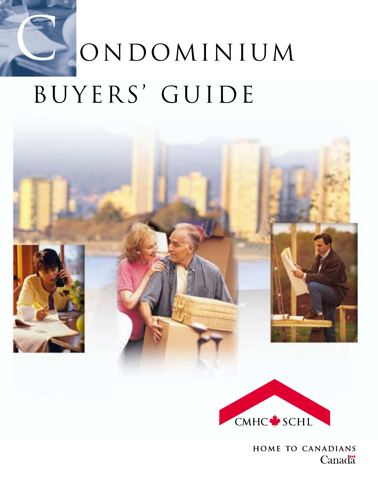# ondominium BUYERS' GUIDE C



HOME TO CANADIANS **Canadä**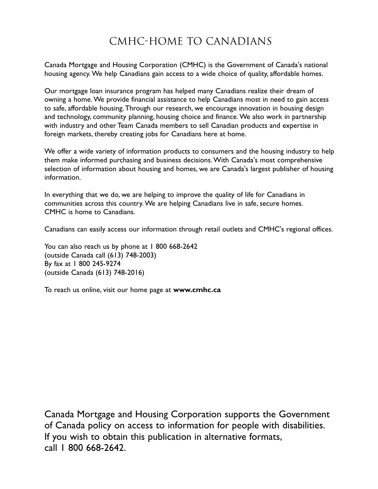## CMHC-Home to Canadians

Canada Mortgage and Housing Corporation (CMHC) is the Government of Canada's national housing agency. We help Canadians gain access to a wide choice of quality, affordable homes.

Our mortgage loan insurance program has helped many Canadians realize their dream of owning a home. We provide financial assistance to help Canadians most in need to gain access to safe, affordable housing. Through our research, we encourage innovation in housing design and technology, community planning, housing choice and finance. We also work in partnership with industry and other Team Canada members to sell Canadian products and expertise in foreign markets, thereby creating jobs for Canadians here at home.

We offer a wide variety of information products to consumers and the housing industry to help them make informed purchasing and business decisions. With Canada's most comprehensive selection of information about housing and homes, we are Canada's largest publisher of housing information.

In everything that we do, we are helping to improve the quality of life for Canadians in communities across this country. We are helping Canadians live in safe, secure homes. CMHC is home to Canadians.

Canadians can easily access our information through retail outlets and CMHC's regional offices.

You can also reach us by phone at 1800 668-2642 (outside Canada call (613) 748-2003) By fax at 1 800 245-9274 (outside Canada (613) 748-2016)

To reach us online, visit our home page at **www.cmhc.ca** 

Canada Mortgage and Housing Corporation supports the Government of Canada policy on access to information for people with disabilities. If you wish to obtain this publication in alternative formats, call 1 800 668-2642.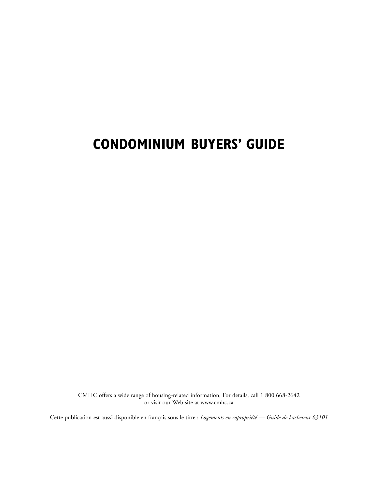# **CONDOMINIUM BUYERS' GUIDE**

CMHC offers a wide range of housing-related information, For details, call 1 800 668-2642 or visit our Web site at www.cmhc.ca

Cette publication est aussi disponible en français sous le titre : *Logements en copropriété — Guide de l'acheteur 63101*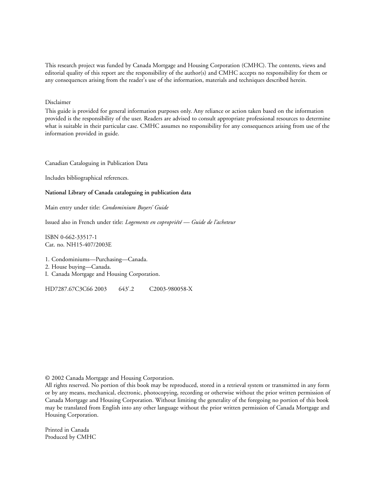This research project was funded by Canada Mortgage and Housing Corporation (CMHC). The contents, views and editorial quality of this report are the responsibility of the author(s) and CMHC accepts no responsibility for them or any consequences arising from the reader's use of the information, materials and techniques described herein.

Disclaimer

This guide is provided for general information purposes only. Any reliance or action taken based on the information provided is the responsibility of the user. Readers are advised to consult appropriate professional resources to determine what is suitable in their particular case. CMHC assumes no responsibility for any consequences arising from use of the information provided in guide.

Canadian Cataloguing in Publication Data

Includes bibliographical references.

#### **National Library of Canada cataloguing in publication data**

Main entry under title: *Condominium Buyers' Guide*

Issued also in French under title: *Logements en copropriété — Guide de l'acheteur*

ISBN 0-662-33517-1 Cat. no. NH15-407/2003E

1. Condominiums—Purchasing—Canada.

2. House buying—Canada.

I. Canada Mortgage and Housing Corporation.

HD7287.67C3C66 2003 643'.2 C2003-980058-X

© 2002 Canada Mortgage and Housing Corporation.

All rights reserved. No portion of this book may be reproduced, stored in a retrieval system or transmitted in any form or by any means, mechanical, electronic, photocopying, recording or otherwise without the prior written permission of Canada Mortgage and Housing Corporation. Without limiting the generality of the foregoing no portion of this book may be translated from English into any other language without the prior written permission of Canada Mortgage and Housing Corporation.

Printed in Canada Produced by CMHC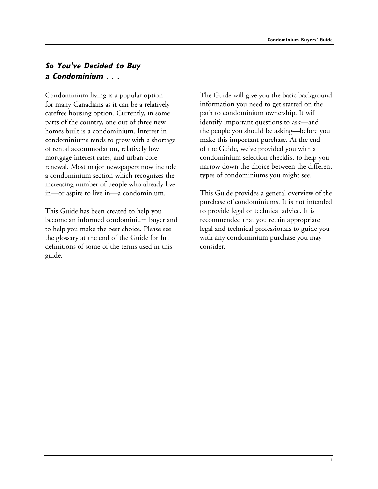## **So You've Decided to Buy a Condominium . . .**

Condominium living is a popular option for many Canadians as it can be a relatively carefree housing option. Currently, in some parts of the country, one out of three new homes built is a condominium. Interest in condominiums tends to grow with a shortage of rental accommodation, relatively low mortgage interest rates, and urban core renewal. Most major newspapers now include a condominium section which recognizes the increasing number of people who already live in—or aspire to live in—a condominium.

This Guide has been created to help you become an informed condominium buyer and to help you make the best choice. Please see the glossary at the end of the Guide for full definitions of some of the terms used in this guide.

The Guide will give you the basic background information you need to get started on the path to condominium ownership. It will identify important questions to ask—and the people you should be asking—before you make this important purchase. At the end of the Guide, we've provided you with a condominium selection checklist to help you narrow down the choice between the different types of condominiums you might see.

This Guide provides a general overview of the purchase of condominiums. It is not intended to provide legal or technical advice. It is recommended that you retain appropriate legal and technical professionals to guide you with any condominium purchase you may consider.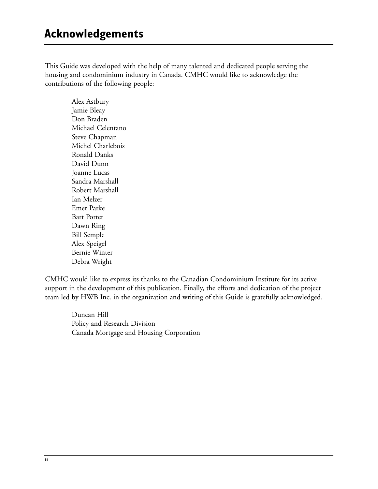This Guide was developed with the help of many talented and dedicated people serving the housing and condominium industry in Canada. CMHC would like to acknowledge the contributions of the following people:

> Alex Astbury Jamie Bleay Don Braden Michael Celentano Steve Chapman Michel Charlebois Ronald Danks David Dunn Joanne Lucas Sandra Marshall Robert Marshall Ian Melzer Emer Parke Bart Porter Dawn Ring Bill Semple Alex Speigel Bernie Winter Debra Wright

CMHC would like to express its thanks to the Canadian Condominium Institute for its active support in the development of this publication. Finally, the efforts and dedication of the project team led by HWB Inc. in the organization and writing of this Guide is gratefully acknowledged.

Duncan Hill Policy and Research Division Canada Mortgage and Housing Corporation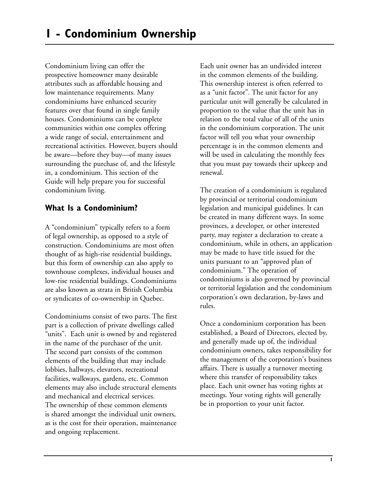Condominium living can offer the prospective homeowner many desirable attributes such as affordable housing and low maintenance requirements. Many condominiums have enhanced security features over that found in single family houses. Condominiums can be complete communities within one complex offering a wide range of social, entertainment and recreational activities. However, buyers should be aware—before they buy—of many issues surrounding the purchase of, and the lifestyle in, a condominium. This section of the Guide will help prepare you for successful condominium living.

## **What Is a Condominium?**

A "condominium" typically refers to a form of legal ownership, as opposed to a style of construction. Condominiums are most often thought of as high-rise residential buildings, but this form of ownership can also apply to townhouse complexes, individual houses and low-rise residential buildings. Condominiums are also known as strata in British Columbia or syndicates of co-ownership in Quebec.

Condominiums consist of two parts. The first part is a collection of private dwellings called "units". Each unit is owned by and registered in the name of the purchaser of the unit. The second part consists of the common elements of the building that may include lobbies, hallways, elevators, recreational facilities, walkways, gardens, etc. Common elements may also include structural elements and mechanical and electrical services. The ownership of these common elements is shared amongst the individual unit owners, as is the cost for their operation, maintenance and ongoing replacement.

Each unit owner has an undivided interest in the common elements of the building. This ownership interest is often referred to as a "unit factor". The unit factor for any particular unit will generally be calculated in proportion to the value that the unit has in relation to the total value of all of the units in the condominium corporation. The unit factor will tell you what your ownership percentage is in the common elements and will be used in calculating the monthly fees that you must pay towards their upkeep and renewal.

The creation of a condominium is regulated by provincial or territorial condominium legislation and municipal guidelines. It can be created in many different ways. In some provinces, a developer, or other interested party, may register a declaration to create a condominium, while in others, an application may be made to have title issued for the units pursuant to an "approved plan of condominium." The operation of condominiums is also governed by provincial or territorial legislation and the condominium corporation's own declaration, by-laws and rules.

Once a condominium corporation has been established, a Board of Directors, elected by, and generally made up of, the individual condominium owners, takes responsibility for the management of the corporation's business affairs. There is usually a turnover meeting where this transfer of responsibility takes place. Each unit owner has voting rights at meetings. Your voting rights will generally be in proportion to your unit factor.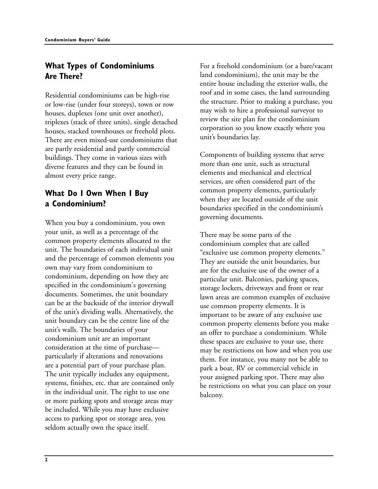## **What Types of Condominiums Are There?**

Residential condominiums can be high-rise or low-rise (under four storeys), town or row houses, duplexes (one unit over another), triplexes (stack of three units), single detached houses, stacked townhouses or freehold plots. There are even mixed-use condominiums that are partly residential and partly commercial buildings. They come in various sizes with diverse features and they can be found in almost every price range.

## **What Do I Own When I Buy a Condominium?**

When you buy a condominium, you own your unit, as well as a percentage of the common property elements allocated to the unit. The boundaries of each individual unit and the percentage of common elements you own may vary from condominium to condominium, depending on how they are specified in the condominium's governing documents. Sometimes, the unit boundary can be at the backside of the interior drywall of the unit's dividing walls. Alternatively, the unit boundary can be the centre line of the unit's walls. The boundaries of your condominium unit are an important consideration at the time of purchase particularly if alterations and renovations are a potential part of your purchase plan. The unit typically includes any equipment, systems, finishes, etc. that are contained only in the individual unit. The right to use one or more parking spots and storage areas may be included. While you may have exclusive access to parking spot or storage area, you seldom actually own the space itself.

For a freehold condominium (or a bare/vacant land condominium), the unit may be the entire house including the exterior walls, the roof and in some cases, the land surrounding the structure. Prior to making a purchase, you may wish to hire a professional surveyor to review the site plan for the condominium corporation so you know exactly where you unit's boundaries lay.

Components of building systems that serve more than one unit, such as structural elements and mechanical and electrical services, are often considered part of the common property elements, particularly when they are located outside of the unit boundaries specified in the condominium's governing documents.

There may be some parts of the condominium complex that are called "exclusive use common property elements." They are outside the unit boundaries, but are for the exclusive use of the owner of a particular unit. Balconies, parking spaces, storage lockers, driveways and front or rear lawn areas are common examples of exclusive use common property elements. It is important to be aware of any exclusive use common property elements before you make an offer to purchase a condominium. While these spaces are exclusive to your use, there may be restrictions on how and when you use them. For instance, you many not be able to park a boat, RV or commercial vehicle in your assigned parking spot. There may also be restrictions on what you can place on your balcony.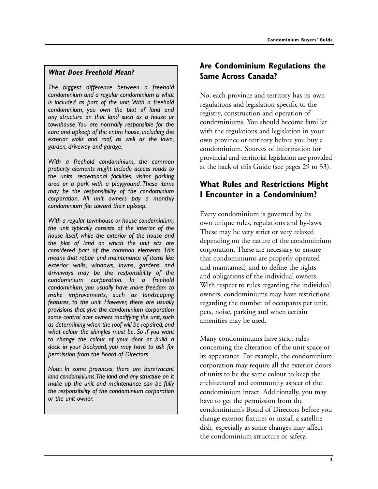## **What Does Freehold Mean?**

*The biggest difference between a freehold condominium and a regular condominium is what is included as part of the unit. With a freehold condominium, you own the plot of land and any structure on that land such as a house or townhouse. You are normally responsible for the care and upkeep of the entire house, including the exterior walls and roof, as well as the lawn, garden, driveway and garage.*

*With a freehold condominium, the common property elements might include access roads to the units, recreational facilities, visitor parking area or a park with a playground. These items may be the responsibility of the condominium corporation. All unit owners pay a monthly condominium fee toward their upkeep.*

*With a regular townhouse or house condominium, the unit typically consists of the interior of the house itself, while the exterior of the house and the plot of land on which the unit sits are considered part of the common elements. This means that repair and maintenance of items like exterior walls, windows, lawns, gardens and driveways may be the responsibility of the condominium corporation. In a freehold condominium, you usually have more freedom to make improvements, such as landscaping features, to the unit. However, there are usually provisions that give the condominium corporation some control over owners modifying the unit, such as determining when the roof will be repaired, and what colour the shingles must be. So if you want to change the colour of your door or build a deck in your backyard, you may have to ask for permission from the Board of Directors.*

*Note: In some provinces, there are bare/vacant land condominiums.The land and any structure on it make up the unit and maintenance can be fully the responsibility of the condominium corporation or the unit owner.*

## **Are Condominium Regulations the Same Across Canada?**

No, each province and territory has its own regulations and legislation specific to the registry, construction and operation of condominiums. You should become familiar with the regulations and legislation in your own province or territory before you buy a condominium. Sources of information for provincial and territorial legislation are provided at the back of this Guide (see pages 29 to 33).

## **What Rules and Restrictions Might I Encounter in a Condominium?**

Every condominium is governed by its own unique rules, regulations and by-laws. These may be very strict or very relaxed depending on the nature of the condominium corporation. These are necessary to ensure that condominiums are properly operated and maintained, and to define the rights and obligations of the individual owners. With respect to rules regarding the individual owners, condominiums may have restrictions regarding the number of occupants per unit, pets, noise, parking and when certain amenities may be used.

Many condominiums have strict rules concerning the alteration of the unit space or its appearance. For example, the condominium corporation may require all the exterior doors of units to be the same colour to keep the architectural and community aspect of the condominium intact. Additionally, you may have to get the permission from the condominium's Board of Directors before you change exterior fixtures or install a satellite dish, especially as some changes may affect the condominium structure or safety.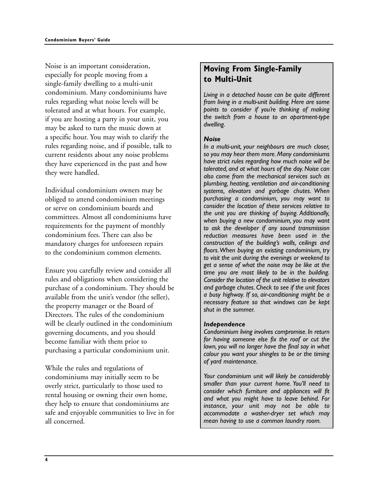Noise is an important consideration, especially for people moving from a single-family dwelling to a multi-unit condominium. Many condominiums have rules regarding what noise levels will be tolerated and at what hours. For example, if you are hosting a party in your unit, you may be asked to turn the music down at a specific hour. You may wish to clarify the rules regarding noise, and if possible, talk to current residents about any noise problems they have experienced in the past and how they were handled.

Individual condominium owners may be obliged to attend condominium meetings or serve on condominium boards and committees. Almost all condominiums have requirements for the payment of monthly condominium fees. There can also be mandatory charges for unforeseen repairs to the condominium common elements.

Ensure you carefully review and consider all rules and obligations when considering the purchase of a condominium. They should be available from the unit's vendor (the seller), the property manager or the Board of Directors. The rules of the condominium will be clearly outlined in the condominium governing documents, and you should become familiar with them prior to purchasing a particular condominium unit.

While the rules and regulations of condominiums may initially seem to be overly strict, particularly to those used to rental housing or owning their own home, they help to ensure that condominiums are safe and enjoyable communities to live in for all concerned.

## **Moving From Single-Family to Multi-Unit**

*Living in a detached house can be quite different from living in a multi-unit building. Here are some points to consider if you're thinking of making the switch from a house to an apartment-type dwelling.*

#### *Noise*

*In a multi-unit, your neighbours are much closer, so you may hear them more. Many condominiums have strict rules regarding how much noise will be tolerated, and at what hours of the day. Noise can also come from the mechanical services such as plumbing, heating, ventilation and air-conditioning systems, elevators and garbage chutes. When purchasing a condominium, you may want to consider the location of these services relative to the unit you are thinking of buying. Additionally, when buying a new condominium, you may want to ask the developer if any sound transmission reduction measures have been used in the construction of the building's walls, ceilings and floors.When buying an existing condominium, try to visit the unit during the evenings or weekend to get a sense of what the noise may be like at the time you are most likely to be in the building. Consider the location of the unit relative to elevators and garbage chutes. Check to see if the unit faces a busy highway. If so, air-conditioning might be a necessary feature so that windows can be kept shut in the summer.*

#### *Independence*

*Condominium living involves compromise. In return for having someone else fix the roof or cut the lawn, you will no longer have the final say in what colour you want your shingles to be or the timing of yard maintenance.*

*Your condominium unit will likely be considerably smaller than your current home. You'll need to consider which furniture and appliances will fit and what you might have to leave behind. For instance, your unit may not be able to accommodate a washer-dryer set which may mean having to use a common laundry room.*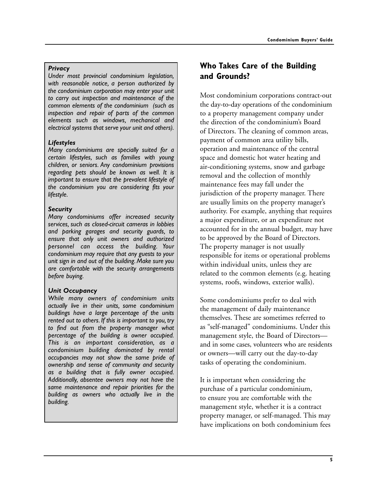#### *Privacy*

*Under most provincial condominium legislation, with reasonable notice, a person authorized by the condominium corporation may enter your unit to carry out inspection and maintenance of the common elements of the condominium (such as inspection and repair of parts of the common elements such as windows, mechanical and electrical systems that serve your unit and others).*

#### *Lifestyles*

*Many condominiums are specially suited for a certain lifestyles, such as families with young children, or seniors. Any condominium provisions regarding pets should be known as well. It is important to ensure that the prevalent lifestyle of the condominium you are considering fits your lifestyle.*

#### *Security*

*Many condominiums offer increased security services, such as closed-circuit cameras in lobbies and parking garages and security guards, to ensure that only unit owners and authorized personnel can access the building. Your condominium may require that any guests to your unit sign in and out of the building. Make sure you are comfortable with the security arrangements before buying.*

#### *Unit Occupancy*

*While many owners of condominium units actually live in their units, some condominium buildings have a large percentage of the units rented out to others. If this is important to you, try to find out from the property manager what percentage of the building is owner occupied. This is an important consideration, as a condominium building dominated by rental occupancies may not show the same pride of ownership and sense of community and security as a building that is fully owner occupied. Additionally, absentee owners may not have the same maintenance and repair priorities for the building as owners who actually live in the building.*

## **Who Takes Care of the Building and Grounds?**

Most condominium corporations contract-out the day-to-day operations of the condominium to a property management company under the direction of the condominium's Board of Directors. The cleaning of common areas, payment of common area utility bills, operation and maintenance of the central space and domestic hot water heating and air-conditioning systems, snow and garbage removal and the collection of monthly maintenance fees may fall under the jurisdiction of the property manager. There are usually limits on the property manager's authority. For example, anything that requires a major expenditure, or an expenditure not accounted for in the annual budget, may have to be approved by the Board of Directors. The property manager is not usually responsible for items or operational problems within individual units, unless they are related to the common elements (e.g. heating systems, roofs, windows, exterior walls).

Some condominiums prefer to deal with the management of daily maintenance themselves. These are sometimes referred to as "self-managed" condominiums. Under this management style, the Board of Directors and in some cases, volunteers who are residents or owners—will carry out the day-to-day tasks of operating the condominium.

It is important when considering the purchase of a particular condominium, to ensure you are comfortable with the management style, whether it is a contract property manager, or self-managed. This may have implications on both condominium fees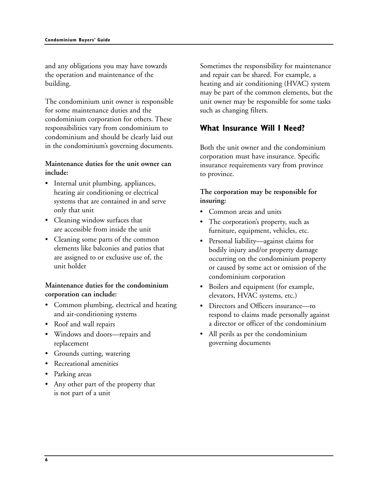and any obligations you may have towards the operation and maintenance of the building.

The condominium unit owner is responsible for some maintenance duties and the condominium corporation for others. These responsibilities vary from condominium to condominium and should be clearly laid out in the condominium's governing documents.

## **Maintenance duties for the unit owner can include:**

- Internal unit plumbing, appliances, heating air conditioning or electrical systems that are contained in and serve only that unit
- Cleaning window surfaces that are accessible from inside the unit
- Cleaning some parts of the common elements like balconies and patios that are assigned to or exclusive use of, the unit holder

## **Maintenance duties for the condominium corporation can include:**

- Common plumbing, electrical and heating and air-conditioning systems
- Roof and wall repairs
- Windows and doors—repairs and replacement
- Grounds cutting, watering
- Recreational amenities
- Parking areas
- Any other part of the property that is not part of a unit

Sometimes the responsibility for maintenance and repair can be shared. For example, a heating and air conditioning (HVAC) system may be part of the common elements, but the unit owner may be responsible for some tasks such as changing filters.

## **What Insurance Will I Need?**

Both the unit owner and the condominium corporation must have insurance. Specific insurance requirements vary from province to province.

## **The corporation may be responsible for insuring:**

- Common areas and units
- The corporation's property, such as furniture, equipment, vehicles, etc.
- Personal liability—against claims for bodily injury and/or property damage occurring on the condominium property or caused by some act or omission of the condominium corporation
- Boilers and equipment (for example, elevators, HVAC systems, etc.)
- Directors and Officers insurance—to respond to claims made personally against a director or officer of the condominium
- All perils as per the condominium governing documents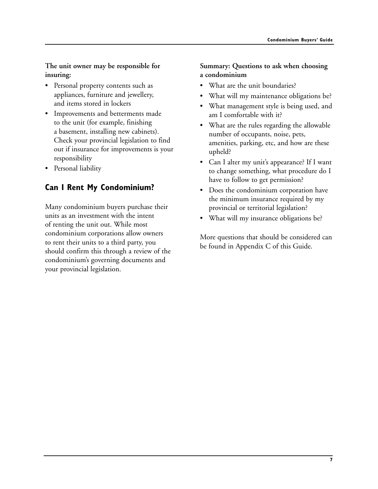**The unit owner may be responsible for insuring:**

- Personal property contents such as appliances, furniture and jewellery, and items stored in lockers
- Improvements and betterments made to the unit (for example, finishing a basement, installing new cabinets). Check your provincial legislation to find out if insurance for improvements is your responsibility
- Personal liability

## **Can I Rent My Condominium?**

Many condominium buyers purchase their units as an investment with the intent of renting the unit out. While most condominium corporations allow owners to rent their units to a third party, you should confirm this through a review of the condominium's governing documents and your provincial legislation.

## **Summary: Questions to ask when choosing a condominium**

- What are the unit boundaries?
- What will my maintenance obligations be?
- What management style is being used, and am I comfortable with it?
- What are the rules regarding the allowable number of occupants, noise, pets, amenities, parking, etc, and how are these upheld?
- Can I alter my unit's appearance? If I want to change something, what procedure do I have to follow to get permission?
- Does the condominium corporation have the minimum insurance required by my provincial or territorial legislation?
- What will my insurance obligations be?

More questions that should be considered can be found in Appendix C of this Guide.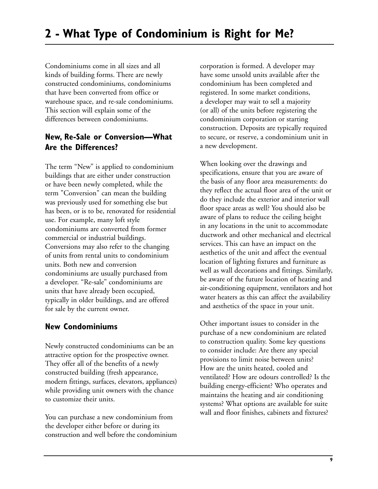Condominiums come in all sizes and all kinds of building forms. There are newly constructed condominiums, condominiums that have been converted from office or warehouse space, and re-sale condominiums. This section will explain some of the differences between condominiums.

## **New, Re-Sale or Conversion—What Are the Differences?**

The term "New" is applied to condominium buildings that are either under construction or have been newly completed, while the term "Conversion" can mean the building was previously used for something else but has been, or is to be, renovated for residential use. For example, many loft style condominiums are converted from former commercial or industrial buildings. Conversions may also refer to the changing of units from rental units to condominium units. Both new and conversion condominiums are usually purchased from a developer. "Re-sale" condominiums are units that have already been occupied, typically in older buildings, and are offered for sale by the current owner.

## **New Condominiums**

Newly constructed condominiums can be an attractive option for the prospective owner. They offer all of the benefits of a newly constructed building (fresh appearance, modern fittings, surfaces, elevators, appliances) while providing unit owners with the chance to customize their units.

You can purchase a new condominium from the developer either before or during its construction and well before the condominium corporation is formed. A developer may have some unsold units available after the condominium has been completed and registered. In some market conditions, a developer may wait to sell a majority (or all) of the units before registering the condominium corporation or starting construction. Deposits are typically required to secure, or reserve, a condominium unit in a new development.

When looking over the drawings and specifications, ensure that you are aware of the basis of any floor area measurements: do they reflect the actual floor area of the unit or do they include the exterior and interior wall floor space areas as well? You should also be aware of plans to reduce the ceiling height in any locations in the unit to accommodate ductwork and other mechanical and electrical services. This can have an impact on the aesthetics of the unit and affect the eventual location of lighting fixtures and furniture as well as wall decorations and fittings. Similarly, be aware of the future location of heating and air-conditioning equipment, ventilators and hot water heaters as this can affect the availability and aesthetics of the space in your unit.

Other important issues to consider in the purchase of a new condominium are related to construction quality. Some key questions to consider include: Are there any special provisions to limit noise between units? How are the units heated, cooled and ventilated? How are odours controlled? Is the building energy-efficient? Who operates and maintains the heating and air conditioning systems? What options are available for suite wall and floor finishes, cabinets and fixtures?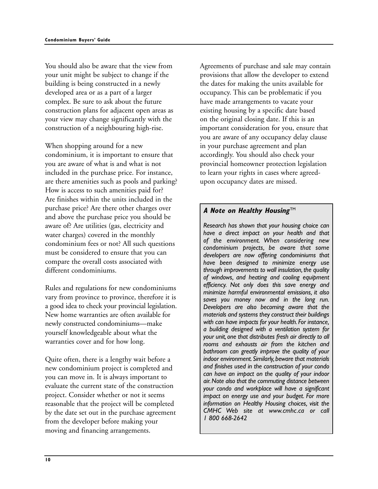You should also be aware that the view from your unit might be subject to change if the building is being constructed in a newly developed area or as a part of a larger complex. Be sure to ask about the future construction plans for adjacent open areas as your view may change significantly with the construction of a neighbouring high-rise.

When shopping around for a new condominium, it is important to ensure that you are aware of what is and what is not included in the purchase price. For instance, are there amenities such as pools and parking? How is access to such amenities paid for? Are finishes within the units included in the purchase price? Are there other charges over and above the purchase price you should be aware of? Are utilities (gas, electricity and water charges) covered in the monthly condominium fees or not? All such questions must be considered to ensure that you can compare the overall costs associated with different condominiums.

Rules and regulations for new condominiums vary from province to province, therefore it is a good idea to check your provincial legislation. New home warranties are often available for newly constructed condominiums—make yourself knowledgeable about what the warranties cover and for how long.

Quite often, there is a lengthy wait before a new condominium project is completed and you can move in. It is always important to evaluate the current state of the construction project. Consider whether or not it seems reasonable that the project will be completed by the date set out in the purchase agreement from the developer before making your moving and financing arrangements.

Agreements of purchase and sale may contain provisions that allow the developer to extend the dates for making the units available for occupancy. This can be problematic if you have made arrangements to vacate your existing housing by a specific date based on the original closing date. If this is an important consideration for you, ensure that you are aware of any occupancy delay clause in your purchase agreement and plan accordingly. You should also check your provincial homeowner protection legislation to learn your rights in cases where agreedupon occupancy dates are missed.

## **A Note on Healthy Housing™**

*Research has shown that your housing choice can have a direct impact on your health and that of the environment. When considering new condominium projects, be aware that some developers are now offering condominiums that have been designed to minimize energy use through improvements to wall insulation, the quality of windows, and heating and cooling equipment efficiency. Not only does this save energy and minimize harmful environmental emissions, it also saves you money now and in the long run. Developers are also becoming aware that the materials and systems they construct their buildings with can have impacts for your health.For instance, a building designed with a ventilation system for your unit,one that distributes fresh air directly to all rooms and exhausts air from the kitchen and bathroom can greatly improve the quality of your indoor environment.Similarly,beware that materials and finishes used in the construction of your condo can have an impact on the quality of your indoor air.Note also that the commuting distance between your condo and workplace will have a significant impact on energy use and your budget. For more information on Healthy Housing choices, visit the CMHC Web site at www.cmhc.ca or call 1 800 668-2642*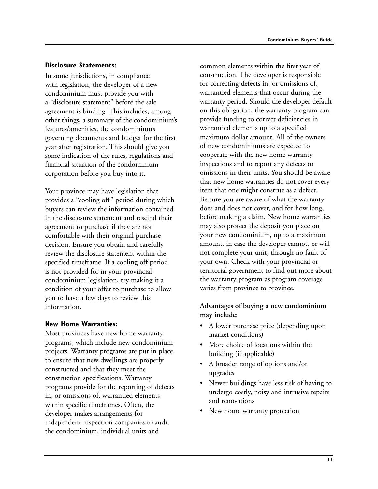### **Disclosure Statements:**

In some jurisdictions, in compliance with legislation, the developer of a new condominium must provide you with a "disclosure statement" before the sale agreement is binding. This includes, among other things, a summary of the condominium's features/amenities, the condominium's governing documents and budget for the first year after registration. This should give you some indication of the rules, regulations and financial situation of the condominium corporation before you buy into it.

Your province may have legislation that provides a "cooling off" period during which buyers can review the information contained in the disclosure statement and rescind their agreement to purchase if they are not comfortable with their original purchase decision. Ensure you obtain and carefully review the disclosure statement within the specified timeframe. If a cooling off period is not provided for in your provincial condominium legislation, try making it a condition of your offer to purchase to allow you to have a few days to review this information.

## **New Home Warranties:**

Most provinces have new home warranty programs, which include new condominium projects. Warranty programs are put in place to ensure that new dwellings are properly constructed and that they meet the construction specifications. Warranty programs provide for the reporting of defects in, or omissions of, warrantied elements within specific timeframes. Often, the developer makes arrangements for independent inspection companies to audit the condominium, individual units and

common elements within the first year of construction. The developer is responsible for correcting defects in, or omissions of, warrantied elements that occur during the warranty period. Should the developer default on this obligation, the warranty program can provide funding to correct deficiencies in warrantied elements up to a specified maximum dollar amount. All of the owners of new condominiums are expected to cooperate with the new home warranty inspections and to report any defects or omissions in their units. You should be aware that new home warranties do not cover every item that one might construe as a defect. Be sure you are aware of what the warranty does and does not cover, and for how long, before making a claim. New home warranties may also protect the deposit you place on your new condominium, up to a maximum amount, in case the developer cannot, or will not complete your unit, through no fault of your own. Check with your provincial or territorial government to find out more about the warranty program as program coverage varies from province to province.

## **Advantages of buying a new condominium may include:**

- A lower purchase price (depending upon market conditions)
- More choice of locations within the building (if applicable)
- A broader range of options and/or upgrades
- Newer buildings have less risk of having to undergo costly, noisy and intrusive repairs and renovations
- New home warranty protection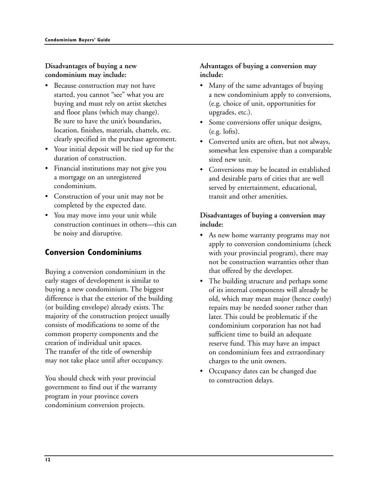## **Disadvantages of buying a new condominium may include:**

- Because construction may not have started, you cannot "see" what you are buying and must rely on artist sketches and floor plans (which may change). Be sure to have the unit's boundaries, location, finishes, materials, chattels, etc. clearly specified in the purchase agreement.
- Your initial deposit will be tied up for the duration of construction.
- Financial institutions may not give you a mortgage on an unregistered condominium.
- Construction of your unit may not be completed by the expected date.
- You may move into your unit while construction continues in others—this can be noisy and disruptive.

## **Conversion Condominiums**

Buying a conversion condominium in the early stages of development is similar to buying a new condominium. The biggest difference is that the exterior of the building (or building envelope) already exists. The majority of the construction project usually consists of modifications to some of the common property components and the creation of individual unit spaces. The transfer of the title of ownership may not take place until after occupancy.

You should check with your provincial government to find out if the warranty program in your province covers condominium conversion projects.

## **Advantages of buying a conversion may include:**

- Many of the same advantages of buying a new condominium apply to conversions, (e.g. choice of unit, opportunities for upgrades, etc.).
- Some conversions offer unique designs, (e.g. lofts).
- Converted units are often, but not always, somewhat less expensive than a comparable sized new unit.
- Conversions may be located in established and desirable parts of cities that are well served by entertainment, educational, transit and other amenities.

## **Disadvantages of buying a conversion may include:**

- As new home warranty programs may not apply to conversion condominiums (check with your provincial program), there may not be construction warranties other than that offered by the developer.
- The building structure and perhaps some of its internal components will already be old, which may mean major (hence costly) repairs may be needed sooner rather than later. This could be problematic if the condominium corporation has not had sufficient time to build an adequate reserve fund. This may have an impact on condominium fees and extraordinary charges to the unit owners.
- Occupancy dates can be changed due to construction delays.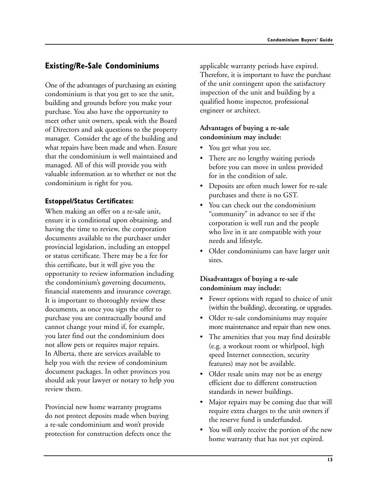## **Existing/Re-Sale Condominiums**

One of the advantages of purchasing an existing condominium is that you get to see the unit, building and grounds before you make your purchase. You also have the opportunity to meet other unit owners, speak with the Board of Directors and ask questions to the property manager. Consider the age of the building and what repairs have been made and when. Ensure that the condominium is well maintained and managed. All of this will provide you with valuable information as to whether or not the condominium is right for you.

## **Estoppel/Status Certificates:**

When making an offer on a re-sale unit, ensure it is conditional upon obtaining, and having the time to review, the corporation documents available to the purchaser under provincial legislation, including an estoppel or status certificate. There may be a fee for this certificate, but it will give you the opportunity to review information including the condominium's governing documents, financial statements and insurance coverage. It is important to thoroughly review these documents, as once you sign the offer to purchase you are contractually bound and cannot change your mind if, for example, you later find out the condominium does not allow pets or requires major repairs. In Alberta, there are services available to help you with the review of condominium document packages. In other provinces you should ask your lawyer or notary to help you review them.

Provincial new home warranty programs do not protect deposits made when buying a re-sale condominium and won't provide protection for construction defects once the applicable warranty periods have expired. Therefore, it is important to have the purchase of the unit contingent upon the satisfactory inspection of the unit and building by a qualified home inspector, professional engineer or architect.

## **Advantages of buying a re-sale condominium may include:**

- You get what you see.
- There are no lengthy waiting periods before you can move in unless provided for in the condition of sale.
- Deposits are often much lower for re-sale purchases and there is no GST.
- You can check out the condominium "community" in advance to see if the corporation is well run and the people who live in it are compatible with your needs and lifestyle.
- Older condominiums can have larger unit sizes.

## **Disadvantages of buying a re-sale condominium may include:**

- Fewer options with regard to choice of unit (within the building), decorating, or upgrades.
- Older re-sale condominiums may require more maintenance and repair than new ones.
- The amenities that you may find desirable (e.g. a workout room or whirlpool, high speed Internet connection, security features) may not be available.
- Older resale units may not be as energy efficient due to different construction standards in newer buildings.
- Major repairs may be coming due that will require extra charges to the unit owners if the reserve fund is underfunded.
- You will only receive the portion of the new home warranty that has not yet expired.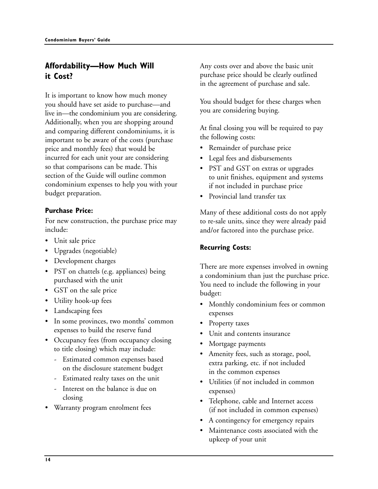## **Affordability—How Much Will it Cost?**

It is important to know how much money you should have set aside to purchase—and live in—the condominium you are considering. Additionally, when you are shopping around and comparing different condominiums, it is important to be aware of the costs (purchase price and monthly fees) that would be incurred for each unit your are considering so that comparisons can be made. This section of the Guide will outline common condominium expenses to help you with your budget preparation.

## **Purchase Price:**

For new construction, the purchase price may include:

- Unit sale price
- Upgrades (negotiable)
- Development charges
- PST on chattels (e.g. appliances) being purchased with the unit
- GST on the sale price
- Utility hook-up fees
- Landscaping fees
- In some provinces, two months' common expenses to build the reserve fund
- Occupancy fees (from occupancy closing to title closing) which may include:
	- Estimated common expenses based on the disclosure statement budget
	- Estimated realty taxes on the unit
	- Interest on the balance is due on closing
- Warranty program enrolment fees

Any costs over and above the basic unit purchase price should be clearly outlined in the agreement of purchase and sale.

You should budget for these charges when you are considering buying.

At final closing you will be required to pay the following costs:

- Remainder of purchase price
- Legal fees and disbursements
- PST and GST on extras or upgrades to unit finishes, equipment and systems if not included in purchase price
- Provincial land transfer tax

Many of these additional costs do not apply to re-sale units, since they were already paid and/or factored into the purchase price.

## **Recurring Costs:**

There are more expenses involved in owning a condominium than just the purchase price. You need to include the following in your budget:

- Monthly condominium fees or common expenses
- Property taxes
- Unit and contents insurance
- Mortgage payments
- Amenity fees, such as storage, pool, extra parking, etc. if not included in the common expenses
- Utilities (if not included in common expenses)
- Telephone, cable and Internet access (if not included in common expenses)
- A contingency for emergency repairs
- Maintenance costs associated with the upkeep of your unit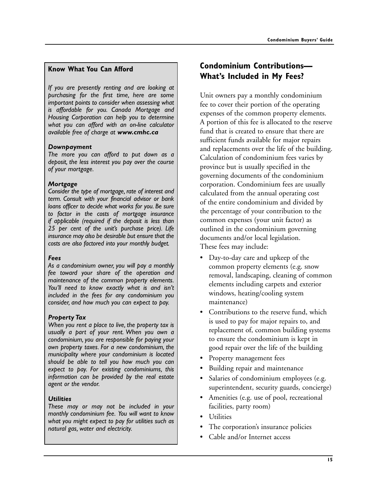#### **Know What You Can Afford**

*If you are presently renting and are looking at purchasing for the first time, here are some important points to consider when assessing what is affordable for you. Canada Mortgage and Housing Corporation can help you to determine what you can afford with an on-line calculator available free of charge at www.cmhc.ca*

#### *Downpayment*

*The more you can afford to put down as a deposit, the less interest you pay over the course of your mortgage.*

#### *Mortgage*

*Consider the type of mortgage, rate of interest and term. Consult with your financial advisor or bank loans officer to decide what works for you. Be sure to factor in the costs of mortgage insurance if applicable (required if the deposit is less than 25 per cent of the unit's purchase price). Life insurance may also be desirable but ensure that the costs are also factored into your monthly budget.*

#### *Fees*

*As a condominium owner, you will pay a monthly fee toward your share of the operation and maintenance of the common property elements. You'll need to know exactly what is and isn't included in the fees for any condominium you consider, and how much you can expect to pay.*

#### *Property Tax*

*When you rent a place to live, the property tax is usually a part of your rent. When you own a condominium, you are responsible for paying your own property taxes. For a new condominium, the municipality where your condominium is located should be able to tell you how much you can expect to pay. For existing condominiums, this information can be provided by the real estate agent or the vendor.*

#### *Utilities*

*These may or may not be included in your monthly condominium fee. You will want to know what you might expect to pay for utilities such as natural gas, water and electricity.*

## **Condominium Contributions— What's Included in My Fees?**

Unit owners pay a monthly condominium fee to cover their portion of the operating expenses of the common property elements. A portion of this fee is allocated to the reserve fund that is created to ensure that there are sufficient funds available for major repairs and replacements over the life of the building. Calculation of condominium fees varies by province but is usually specified in the governing documents of the condominium corporation. Condominium fees are usually calculated from the annual operating cost of the entire condominium and divided by the percentage of your contribution to the common expenses (your unit factor) as outlined in the condominium governing documents and/or local legislation. These fees may include:

- Day-to-day care and upkeep of the common property elements (e.g. snow removal, landscaping, cleaning of common elements including carpets and exterior windows, heating/cooling system maintenance)
- Contributions to the reserve fund, which is used to pay for major repairs to, and replacement of, common building systems to ensure the condominium is kept in good repair over the life of the building
- Property management fees
- Building repair and maintenance
- Salaries of condominium employees (e.g. superintendent, security guards, concierge)
- Amenities (e.g. use of pool, recreational facilities, party room)
- Utilities
- The corporation's insurance policies
- Cable and/or Internet access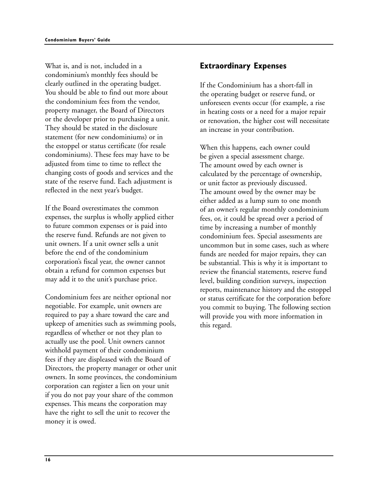What is, and is not, included in a condominium's monthly fees should be clearly outlined in the operating budget. You should be able to find out more about the condominium fees from the vendor, property manager, the Board of Directors or the developer prior to purchasing a unit. They should be stated in the disclosure statement (for new condominiums) or in the estoppel or status certificate (for resale condominiums). These fees may have to be adjusted from time to time to reflect the changing costs of goods and services and the state of the reserve fund. Each adjustment is reflected in the next year's budget.

If the Board overestimates the common expenses, the surplus is wholly applied either to future common expenses or is paid into the reserve fund. Refunds are not given to unit owners. If a unit owner sells a unit before the end of the condominium corporation's fiscal year, the owner cannot obtain a refund for common expenses but may add it to the unit's purchase price.

Condominium fees are neither optional nor negotiable. For example, unit owners are required to pay a share toward the care and upkeep of amenities such as swimming pools, regardless of whether or not they plan to actually use the pool. Unit owners cannot withhold payment of their condominium fees if they are displeased with the Board of Directors, the property manager or other unit owners. In some provinces, the condominium corporation can register a lien on your unit if you do not pay your share of the common expenses. This means the corporation may have the right to sell the unit to recover the money it is owed.

## **Extraordinary Expenses**

If the Condominium has a short-fall in the operating budget or reserve fund, or unforeseen events occur (for example, a rise in heating costs or a need for a major repair or renovation, the higher cost will necessitate an increase in your contribution.

When this happens, each owner could be given a special assessment charge. The amount owed by each owner is calculated by the percentage of ownership, or unit factor as previously discussed. The amount owed by the owner may be either added as a lump sum to one month of an owner's regular monthly condominium fees, or, it could be spread over a period of time by increasing a number of monthly condominium fees. Special assessments are uncommon but in some cases, such as where funds are needed for major repairs, they can be substantial. This is why it is important to review the financial statements, reserve fund level, building condition surveys, inspection reports, maintenance history and the estoppel or status certificate for the corporation before you commit to buying. The following section will provide you with more information in this regard.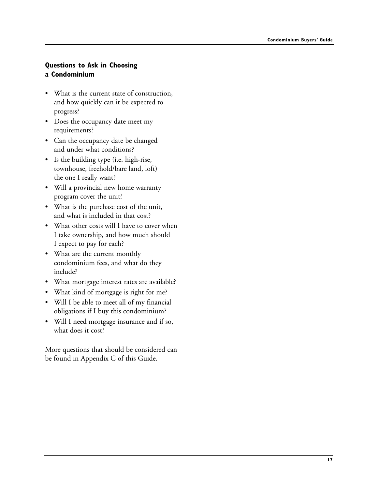## **Questions to Ask in Choosing a Condominium**

- What is the current state of construction, and how quickly can it be expected to progress?
- Does the occupancy date meet my requirements?
- Can the occupancy date be changed and under what conditions?
- Is the building type (i.e. high-rise, townhouse, freehold/bare land, loft) the one I really want?
- Will a provincial new home warranty program cover the unit?
- What is the purchase cost of the unit, and what is included in that cost?
- What other costs will I have to cover when I take ownership, and how much should I expect to pay for each?
- What are the current monthly condominium fees, and what do they include?
- What mortgage interest rates are available?
- What kind of mortgage is right for me?
- Will I be able to meet all of my financial obligations if I buy this condominium?
- Will I need mortgage insurance and if so, what does it cost?

More questions that should be considered can be found in Appendix C of this Guide.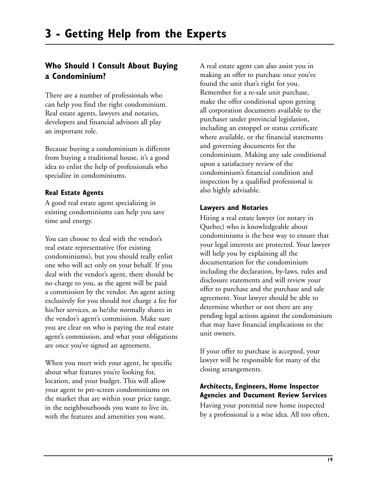## **Who Should I Consult About Buying a Condominium?**

There are a number of professionals who can help you find the right condominium. Real estate agents, lawyers and notaries, developers and financial advisors all play an important role.

Because buying a condominium is different from buying a traditional house, it's a good idea to enlist the help of professionals who specialize in condominiums.

## **Real Estate Agents**

A good real estate agent specializing in existing condominiums can help you save time and energy.

You can choose to deal with the vendor's real estate representative (for existing condominiums), but you should really enlist one who will act only on your behalf. If you deal with the vendor's agent, there should be no charge to you, as the agent will be paid a commission by the vendor. An agent acting exclusively for you should not charge a fee for his/her services, as he/she normally shares in the vendor's agent's commission. Make sure you are clear on who is paying the real estate agent's commission, and what your obligations are once you've signed an agreement.

When you meet with your agent, be specific about what features you're looking for, location, and your budget. This will allow your agent to pre-screen condominiums on the market that are within your price range, in the neighbourhoods you want to live in, with the features and amenities you want.

A real estate agent can also assist you in making an offer to purchase once you've found the unit that's right for you. Remember for a re-sale unit purchase, make the offer conditional upon getting all corporation documents available to the purchaser under provincial legislation, including an estoppel or status certificate where available, or the financial statements and governing documents for the condominium. Making any sale conditional upon a satisfactory review of the condominium's financial condition and inspection by a qualified professional is also highly advisable.

## **Lawyers and Notaries**

Hiring a real estate lawyer (or notary in Quebec) who is knowledgeable about condominiums is the best way to ensure that your legal interests are protected. Your lawyer will help you by explaining all the documentation for the condominium including the declaration, by-laws, rules and disclosure statements and will review your offer to purchase and the purchase and sale agreement. Your lawyer should be able to determine whether or not there are any pending legal actions against the condominium that may have financial implications to the unit owners.

If your offer to purchase is accepted, your lawyer will be responsible for many of the closing arrangements.

## **Architects, Engineers, Home Inspector Agencies and Document Review Services**

Having your potential new home inspected by a professional is a wise idea. All too often,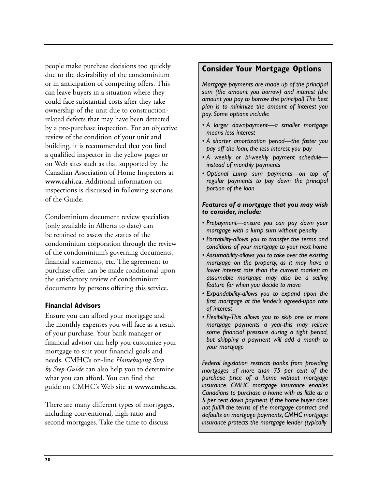people make purchase decisions too quickly due to the desirability of the condominium or in anticipation of competing offers. This can leave buyers in a situation where they could face substantial costs after they take ownership of the unit due to constructionrelated defects that may have been detected by a pre-purchase inspection. For an objective review of the condition of your unit and building, it is recommended that you find a qualified inspector in the yellow pages or on Web sites such as that supported by the Canadian Association of Home Inspectors at **www.cahi.ca**. Additional information on inspections is discussed in following sections of the Guide.

Condominium document review specialists (only available in Alberta to date) can be retained to assess the status of the condominium corporation through the review of the condominium's governing documents, financial statements, etc. The agreement to purchase offer can be made conditional upon the satisfactory review of condominium documents by persons offering this service.

## **Financial Advisors**

Ensure you can afford your mortgage and the monthly expenses you will face as a result of your purchase. Your bank manager or financial advisor can help you customize your mortgage to suit your financial goals and needs. CMHC's on-line *Homebuying Step by Step Guide* can also help you to determine what you can afford. You can find the guide on CMHC's Web site at **www.cmhc.ca.**

There are many different types of mortgages, including conventional, high-ratio and second mortgages. Take the time to discuss

## **Consider Your Mortgage Options**

*Mortgage payments are made up of the principal sum (the amount you borrow) and interest (the amount you pay to borrow the principal).The best plan is to minimize the amount of interest you pay. Some options include:*

- *A larger downpayment—a smaller mortgage means less interest*
- *A shorter amortization period—the faster you pay off the loan, the less interest you pay*
- *A weekly or bi-weekly payment schedule instead of monthly payments*
- *Optional Lump sum payments—on top of regular payments to pay down the principal portion of the loan*

#### *Features of a mortgage that you may wish to consider, include:*

- *Prepayment—ensure you can pay down your mortgage with a lump sum without penalty*
- *Portability-allows you to transfer the terms and conditions of your mortgage to your next home*
- *Assumability-allows you to take over the existing mortgage on the property, as it may have a lower interest rate than the current market; an assumable mortgage may also be a selling feature for when you decide to move*
- *Expandability-allows you to expand upon the first mortgage at the lender's agreed-upon rate of interest*
- *Flexibility-This allows you to skip one or more mortgage payments a year-this may relieve some financial pressure during a tight period, but skipping a payment will add a month to your mortgage*

*Federal legislation restricts banks from providing mortgages of more than 75 per cent of the purchase price of a home without mortgage insurance. CMHC mortgage insurance enables Canadians to purchase a home with as little as a 5 per cent down payment. If the home buyer does not fulfill the terms of the mortgage contract and defaults on mortgage payments, CMHC mortgage insurance protects the mortgage lender (typically*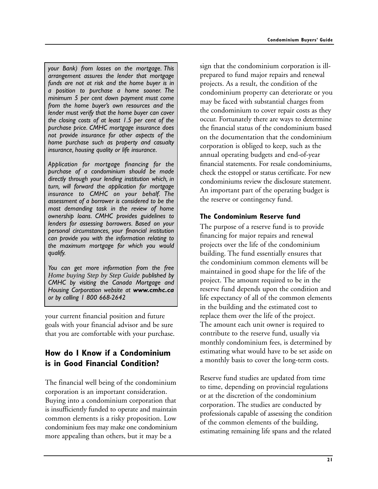*your Bank) from losses on the mortgage. This arrangement assures the lender that mortgage funds are not at risk and the home buyer is in a position to purchase a home sooner. The minimum 5 per cent down payment must come from the home buyer's own resources and the lender must verify that the home buyer can cover the closing costs of at least 1.5 per cent of the purchase price. CMHC mortgage insurance does not provide insurance for other aspects of the home purchase such as property and casualty insurance, housing quality or life insurance.*

*Application for mortgage financing for the purchase of a condominium should be made directly through your lending institution which, in turn, will forward the application for mortgage insurance to CMHC on your behalf. The assessment of a borrower is considered to be the most demanding task in the review of home ownership loans. CMHC provides guidelines to lenders for assessing borrowers. Based on your personal circumstances, your financial institution can provide you with the information relating to the maximum mortgage for which you would qualify.*

*You can get more information from the free Home buying Step by Step Guide published by CMHC by visiting the Canada Mortgage and Housing Corporation website at www.cmhc.ca or by calling 1 800 668-2642*

your current financial position and future goals with your financial advisor and be sure that you are comfortable with your purchase.

## **How do I Know if a Condominium is in Good Financial Condition?**

The financial well being of the condominium corporation is an important consideration. Buying into a condominium corporation that is insufficiently funded to operate and maintain common elements is a risky proposition. Low condominium fees may make one condominium more appealing than others, but it may be a

sign that the condominium corporation is illprepared to fund major repairs and renewal projects. As a result, the condition of the condominium property can deteriorate or you may be faced with substantial charges from the condominium to cover repair costs as they occur. Fortunately there are ways to determine the financial status of the condominium based on the documentation that the condominium corporation is obliged to keep, such as the annual operating budgets and end-of-year financial statements. For resale condominiums, check the estoppel or status certificate. For new condominiums review the disclosure statement. An important part of the operating budget is the reserve or contingency fund.

## **The Condominium Reserve fund**

The purpose of a reserve fund is to provide financing for major repairs and renewal projects over the life of the condominium building. The fund essentially ensures that the condominium common elements will be maintained in good shape for the life of the project. The amount required to be in the reserve fund depends upon the condition and life expectancy of all of the common elements in the building and the estimated cost to replace them over the life of the project. The amount each unit owner is required to contribute to the reserve fund, usually via monthly condominium fees, is determined by estimating what would have to be set aside on a monthly basis to cover the long-term costs.

Reserve fund studies are updated from time to time, depending on provincial regulations or at the discretion of the condominium corporation. The studies are conducted by professionals capable of assessing the condition of the common elements of the building, estimating remaining life spans and the related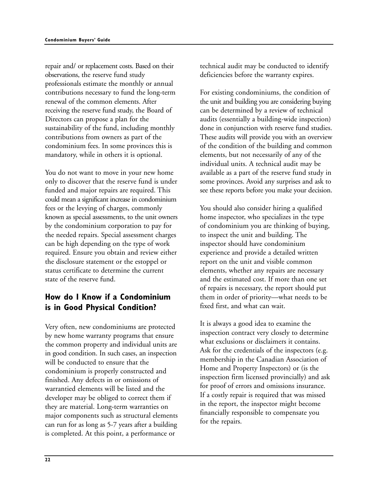repair and/ or replacement costs. Based on their observations, the reserve fund study professionals estimate the monthly or annual contributions necessary to fund the long-term renewal of the common elements. After receiving the reserve fund study, the Board of Directors can propose a plan for the sustainability of the fund, including monthly contributions from owners as part of the condominium fees. In some provinces this is mandatory, while in others it is optional.

You do not want to move in your new home only to discover that the reserve fund is under funded and major repairs are required. This could mean a significant increase in condominium fees or the levying of charges, commonly known as special assessments, to the unit owners by the condominium corporation to pay for the needed repairs. Special assessment charges can be high depending on the type of work required. Ensure you obtain and review either the disclosure statement or the estoppel or status certificate to determine the current state of the reserve fund.

## **How do I Know if a Condominium is in Good Physical Condition?**

Very often, new condominiums are protected by new home warranty programs that ensure the common property and individual units are in good condition. In such cases, an inspection will be conducted to ensure that the condominium is properly constructed and finished. Any defects in or omissions of warrantied elements will be listed and the developer may be obliged to correct them if they are material. Long-term warranties on major components such as structural elements can run for as long as 5-7 years after a building is completed. At this point, a performance or

technical audit may be conducted to identify deficiencies before the warranty expires.

For existing condominiums, the condition of the unit and building you are considering buying can be determined by a review of technical audits (essentially a building-wide inspection) done in conjunction with reserve fund studies. These audits will provide you with an overview of the condition of the building and common elements, but not necessarily of any of the individual units. A technical audit may be available as a part of the reserve fund study in some provinces. Avoid any surprises and ask to see these reports before you make your decision.

You should also consider hiring a qualified home inspector, who specializes in the type of condominium you are thinking of buying, to inspect the unit and building. The inspector should have condominium experience and provide a detailed written report on the unit and visible common elements, whether any repairs are necessary and the estimated cost. If more than one set of repairs is necessary, the report should put them in order of priority—what needs to be fixed first, and what can wait.

It is always a good idea to examine the inspection contract very closely to determine what exclusions or disclaimers it contains. Ask for the credentials of the inspectors (e.g. membership in the Canadian Association of Home and Property Inspectors) or (is the inspection firm licensed provincially) and ask for proof of errors and omissions insurance. If a costly repair is required that was missed in the report, the inspector might become financially responsible to compensate you for the repairs.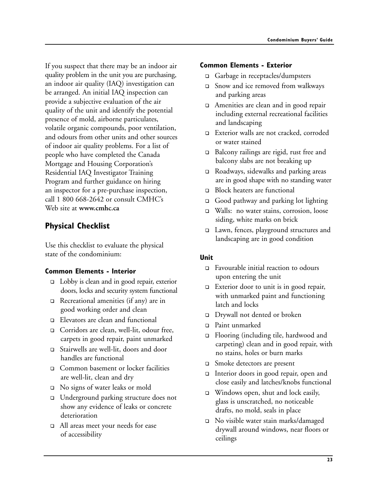If you suspect that there may be an indoor air quality problem in the unit you are purchasing, an indoor air quality (IAQ) investigation can be arranged. An initial IAQ inspection can provide a subjective evaluation of the air quality of the unit and identify the potential presence of mold, airborne particulates, volatile organic compounds, poor ventilation, and odours from other units and other sources of indoor air quality problems. For a list of people who have completed the Canada Mortgage and Housing Corporation's Residential IAQ Investigator Training Program and further guidance on hiring an inspector for a pre-purchase inspection, call 1 800 668-2642 or consult CMHC's Web site at **www.cmhc.ca**

## **Physical Checklist**

Use this checklist to evaluate the physical state of the condominium:

## **Common Elements - Interior**

- □ Lobby is clean and in good repair, exterior doors, locks and security system functional
- □ Recreational amenities (if any) are in good working order and clean
- □ Elevators are clean and functional
- ! Corridors are clean, well-lit, odour free, carpets in good repair, paint unmarked
- ! Stairwells are well-lit, doors and door handles are functional
- ! Common basement or locker facilities are well-lit, clean and dry
- ! No signs of water leaks or mold
- □ Underground parking structure does not show any evidence of leaks or concrete deterioration
- ! All areas meet your needs for ease of accessibility

#### **Common Elements - Exterior**

- □ Garbage in receptacles/dumpsters
- □ Snow and ice removed from walkways and parking areas
- □ Amenities are clean and in good repair including external recreational facilities and landscaping
- □ Exterior walls are not cracked, corroded or water stained
- □ Balcony railings are rigid, rust free and balcony slabs are not breaking up
- □ Roadways, sidewalks and parking areas are in good shape with no standing water
- □ Block heaters are functional
- □ Good pathway and parking lot lighting
- □ Walls: no water stains, corrosion, loose siding, white marks on brick
- □ Lawn, fences, playground structures and landscaping are in good condition

## **Unit**

- □ Favourable initial reaction to odours upon entering the unit
- $\Box$  Exterior door to unit is in good repair, with unmarked paint and functioning latch and locks
- □ Drywall not dented or broken
- □ Paint unmarked
- □ Flooring (including tile, hardwood and carpeting) clean and in good repair, with no stains, holes or burn marks
- □ Smoke detectors are present
- Interior doors in good repair, open and close easily and latches/knobs functional
- ! Windows open, shut and lock easily, glass is unscratched, no noticeable drafts, no mold, seals in place
- ! No visible water stain marks/damaged drywall around windows, near floors or ceilings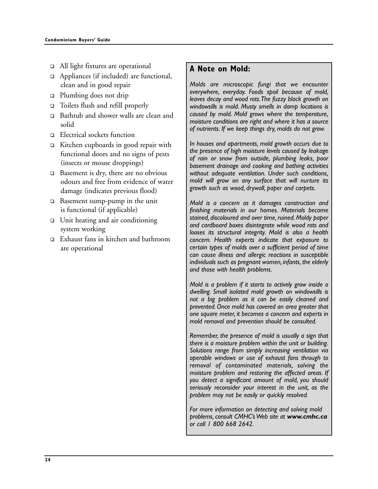- □ All light fixtures are operational
- □ Appliances (if included) are functional, clean and in good repair
- □ Plumbing does not drip
- ! Toilets flush and refill properly
- □ Bathtub and shower walls are clean and solid
- □ Electrical sockets function
- ! Kitchen cupboards in good repair with functional doors and no signs of pests (insects or mouse droppings)
- $\Box$  Basement is dry, there are no obvious odours and free from evidence of water damage (indicates previous flood)
- □ Basement sump-pump in the unit is functional (if applicable)
- □ Unit heating and air conditioning system working
- ! Exhaust fans in kitchen and bathroom are operational

## **A Note on Mold:**

*Molds are microscopic fungi that we encounter everywhere, everyday. Foods spoil because of mold, leaves decay and wood rots.The fuzzy black growth on windowsills is mold. Musty smells in damp locations is caused by mold. Mold grows where the temperature, moisture conditions are right and where it has a source of nutrients. If we keep things dry, molds do not grow.*

*In houses and apartments, mold growth occurs due to the presence of high moisture levels caused by leakage of rain or snow from outside, plumbing leaks, poor basement drainage and cooking and bathing activities without adequate ventilation. Under such conditions, mold will grow on any surface that will nurture its growth such as wood, drywall, paper and carpets.*

*Mold is a concern as it damages construction and finishing materials in our homes. Materials become stained, discoloured and over time, ruined. Moldy paper and cardboard boxes disintegrate while wood rots and looses its structural integrity. Mold is also a health concern. Health experts indicate that exposure to certain types of molds over a sufficient period of time can cause illness and allergic reactions in susceptible individuals such as pregnant women, infants, the elderly and those with health problems.*

*Mold is a problem if it starts to actively grow inside a dwelling. Small isolated mold growth on windowsills is not a big problem as it can be easily cleaned and prevented. Once mold has covered an area greater that one square meter, it becomes a concern and experts in mold removal and prevention should be consulted.*

*Remember, the presence of mold is usually a sign that there is a moisture problem within the unit or building. Solutions range from simply increasing ventilation via operable windows or use of exhaust fans through to removal of contaminated materials, solving the moisture problem and restoring the affected areas. If you detect a significant amount of mold, you should seriously reconsider your interest in the unit, as the problem may not be easily or quickly resolved.*

*For more information on detecting and solving mold problems, consult CMHC's Web site at www.cmhc.ca or call 1 800 668 2642.*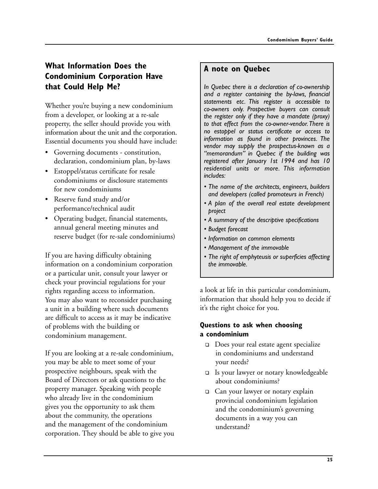## **What Information Does the Condominium Corporation Have that Could Help Me?**

Whether you're buying a new condominium from a developer, or looking at a re-sale property, the seller should provide you with information about the unit and the corporation. Essential documents you should have include:

- Governing documents constitution, declaration, condominium plan, by-laws
- Estoppel/status certificate for resale condominiums or disclosure statements for new condominiums
- Reserve fund study and/or performance/technical audit
- Operating budget, financial statements, annual general meeting minutes and reserve budget (for re-sale condominiums)

If you are having difficulty obtaining information on a condominium corporation or a particular unit, consult your lawyer or check your provincial regulations for your rights regarding access to information. You may also want to reconsider purchasing a unit in a building where such documents are difficult to access as it may be indicative of problems with the building or condominium management.

If you are looking at a re-sale condominium, you may be able to meet some of your prospective neighbours, speak with the Board of Directors or ask questions to the property manager. Speaking with people who already live in the condominium gives you the opportunity to ask them about the community, the operations and the management of the condominium corporation. They should be able to give you

## **A note on Quebec**

*In Quebec there is a declaration of co-ownership and a register containing the by-laws, financial statements etc. This register is accessible to co-owners only. Prospective buyers can consult the register only if they have a mandate (proxy) to that effect from the co-owner-vendor.There is no estoppel or status certificate or access to information as found in other provinces. The vendor may supply the prospectus-known as a "memorandum" in Quebec if the building was registered after January 1st 1994 and has 10 residential units or more. This information includes:*

- *The name of the architects, engineers, builders and developers (called promoteurs in French)*
- *A plan of the overall real estate development project*
- *A summary of the descriptive specifications*
- *Budget forecast*
- *Information on common elements*
- *Management of the immovable*
- *The right of emphyteusis or superficies affecting the immovable.*

a look at life in this particular condominium, information that should help you to decide if it's the right choice for you.

## **Questions to ask when choosing a condominium**

- □ Does your real estate agent specialize in condominiums and understand your needs?
- □ Is your lawyer or notary knowledgeable about condominiums?
- □ Can your lawyer or notary explain provincial condominium legislation and the condominium's governing documents in a way you can understand?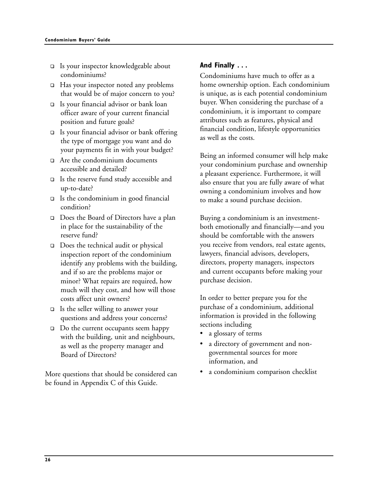- ! Is your inspector knowledgeable about condominiums?
- $\Box$  Has your inspector noted any problems that would be of major concern to you?
- ! Is your financial advisor or bank loan officer aware of your current financial position and future goals?
- $\Box$  Is your financial advisor or bank offering the type of mortgage you want and do your payments fit in with your budget?
- □ Are the condominium documents accessible and detailed?
- $\Box$  Is the reserve fund study accessible and up-to-date?
- $\Box$  Is the condominium in good financial condition?
- □ Does the Board of Directors have a plan in place for the sustainability of the reserve fund?
- □ Does the technical audit or physical inspection report of the condominium identify any problems with the building, and if so are the problems major or minor? What repairs are required, how much will they cost, and how will those costs affect unit owners?
- $\Box$  Is the seller willing to answer your questions and address your concerns?
- ! Do the current occupants seem happy with the building, unit and neighbours, as well as the property manager and Board of Directors?

More questions that should be considered can be found in Appendix C of this Guide.

## **And Finally . . .**

Condominiums have much to offer as a home ownership option. Each condominium is unique, as is each potential condominium buyer. When considering the purchase of a condominium, it is important to compare attributes such as features, physical and financial condition, lifestyle opportunities as well as the costs.

Being an informed consumer will help make your condominium purchase and ownership a pleasant experience. Furthermore, it will also ensure that you are fully aware of what owning a condominium involves and how to make a sound purchase decision.

Buying a condominium is an investmentboth emotionally and financially—and you should be comfortable with the answers you receive from vendors, real estate agents, lawyers, financial advisors, developers, directors, property managers, inspectors and current occupants before making your purchase decision.

In order to better prepare you for the purchase of a condominium, additional information is provided in the following sections including

- a glossary of terms
- a directory of government and nongovernmental sources for more information, and
- a condominium comparison checklist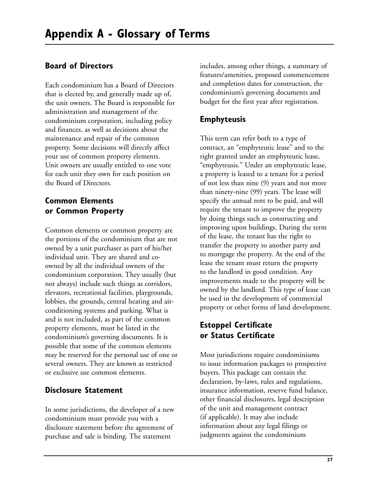## **Board of Directors**

Each condominium has a Board of Directors that is elected by, and generally made up of, the unit owners. The Board is responsible for administration and management of the condominium corporation, including policy and finances, as well as decisions about the maintenance and repair of the common property. Some decisions will directly affect your use of common property elements. Unit owners are usually entitled to one vote for each unit they own for each position on the Board of Directors.

## **Common Elements or Common Property**

Common elements or common property are the portions of the condominium that are not owned by a unit purchaser as part of his/her individual unit. They are shared and coowned by all the individual owners of the condominium corporation. They usually (but not always) include such things as corridors, elevators, recreational facilities, playgrounds, lobbies, the grounds, central heating and airconditioning systems and parking. What is and is not included, as part of the common property elements, must be listed in the condominium's governing documents. It is possible that some of the common elements may be reserved for the personal use of one or several owners. They are known as restricted or exclusive use common elements.

## **Disclosure Statement**

In some jurisdictions, the developer of a new condominium must provide you with a disclosure statement before the agreement of purchase and sale is binding. The statement

includes, among other things, a summary of features/amenities, proposed commencement and completion dates for construction, the condominium's governing documents and budget for the first year after registration.

## **Emphyteusis**

This term can refer both to a type of contract, an "emphyteutic lease" and to the right granted under an emphyteutic lease, "emphyteusis." Under an emphyteutic lease, a property is leased to a tenant for a period of not less than nine (9) years and not more than ninety-nine (99) years. The lease will specify the annual rent to be paid, and will require the tenant to improve the property by doing things such as constructing and improving upon buildings. During the term of the lease, the tenant has the right to transfer the property to another party and to mortgage the property. At the end of the lease the tenant must return the property to the landlord in good condition. Any improvements made to the property will be owned by the landlord. This type of lease can be used in the development of commercial property or other forms of land development.

## **Estoppel Certificate or Status Certificate**

Most jurisdictions require condominiums to issue information packages to prospective buyers. This package can contain the declaration, by-laws, rules and regulations, insurance information, reserve fund balance, other financial disclosures, legal description of the unit and management contract (if applicable). It may also include information about any legal filings or judgments against the condominium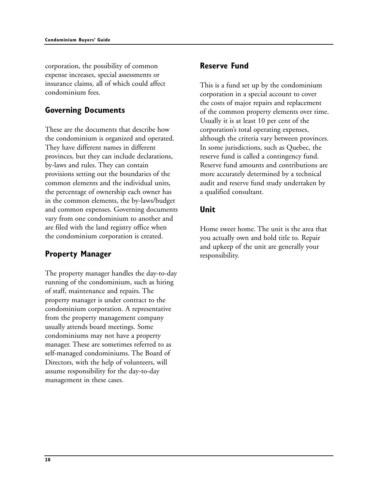corporation, the possibility of common expense increases, special assessments or insurance claims, all of which could affect condominium fees.

## **Governing Documents**

These are the documents that describe how the condominium is organized and operated. They have different names in different provinces, but they can include declarations, by-laws and rules. They can contain provisions setting out the boundaries of the common elements and the individual units, the percentage of ownership each owner has in the common elements, the by-laws/budget and common expenses. Governing documents vary from one condominium to another and are filed with the land registry office when the condominium corporation is created.

## **Property Manager**

The property manager handles the day-to-day running of the condominium, such as hiring of staff, maintenance and repairs. The property manager is under contract to the condominium corporation. A representative from the property management company usually attends board meetings. Some condominiums may not have a property manager. These are sometimes referred to as self-managed condominiums. The Board of Directors, with the help of volunteers, will assume responsibility for the day-to-day management in these cases.

## **Reserve Fund**

This is a fund set up by the condominium corporation in a special account to cover the costs of major repairs and replacement of the common property elements over time. Usually it is at least 10 per cent of the corporation's total operating expenses, although the criteria vary between provinces. In some jurisdictions, such as Quebec, the reserve fund is called a contingency fund. Reserve fund amounts and contributions are more accurately determined by a technical audit and reserve fund study undertaken by a qualified consultant.

## **Unit**

Home sweet home. The unit is the area that you actually own and hold title to. Repair and upkeep of the unit are generally your responsibility.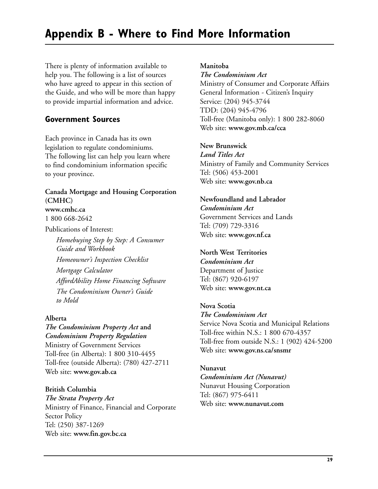# **Appendix B - Where to Find More Information**

There is plenty of information available to help you. The following is a list of sources who have agreed to appear in this section of the Guide, and who will be more than happy to provide impartial information and advice.

## **Government Sources**

Each province in Canada has its own legislation to regulate condominiums. The following list can help you learn where to find condominium information specific to your province.

## **Canada Mortgage and Housing Corporation (CMHC)**

#### **www.cmhc.ca**

1 800 668-2642

Publications of Interest:

*Homebuying Step by Step: A Consumer Guide and Workbook Homeowner's Inspection Checklist Mortgage Calculator AffordAbility Home Financing Software The Condominium Owner's Guide to Mold*

#### **Alberta**

## *The Condominium Property Act* **and**

*Condominium Property Regulation* Ministry of Government Services Toll-free (in Alberta): 1 800 310-4455 Toll-free (outside Alberta): (780) 427-2711 Web site: **www.gov.ab.ca**

#### **British Columbia**

*The Strata Property Act* Ministry of Finance, Financial and Corporate Sector Policy Tel: (250) 387-1269 Web site: **www.fin.gov.bc.ca**

#### **Manitoba**

#### *The Condominium Act*

Ministry of Consumer and Corporate Affairs General Information - Citizen's Inquiry Service: (204) 945-3744 TDD: (204) 945-4796 Toll-free (Manitoba only): 1 800 282-8060 Web site: **www.gov.mb.ca/cca**

#### **New Brunswick**

*Land Titles Act* Ministry of Family and Community Services Tel: (506) 453-2001 Web site: **www.gov.nb.ca**

## **Newfoundland and Labrador**

*Condominium Act* Government Services and Lands Tel: (709) 729-3316 Web site: **www.gov.nf.ca** 

#### **North West Territories**

*Condominium Act* Department of Justice Tel: (867) 920-6197 Web site: **www.gov.nt.ca**

#### **Nova Scotia**

*The Condominium Act*

Service Nova Scotia and Municipal Relations Toll-free within N.S.: 1 800 670-4357 Toll-free from outside N.S.: 1 (902) 424-5200 Web site: **www.gov.ns.ca/snsmr**

#### **Nunavut**

*Condominium Act (Nunavut)* Nunavut Housing Corporation Tel: (867) 975-6411 Web site: **www.nunavut.com**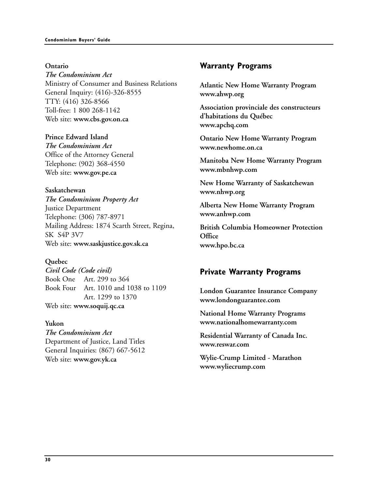**Ontario** *The Condominium Act* Ministry of Consumer and Business Relations General Inquiry: (416)-326-8555 TTY: (416) 326-8566 Toll-free: 1 800 268-1142 Web site: **www.cbs.gov.on.ca**

**Prince Edward Island**  *The Condominium Act* Office of the Attorney General Telephone: (902) 368-4550 Web site: **www.gov.pe.ca**

**Saskatchewan** *The Condominium Property Act* Justice Department Telephone: (306) 787-8971 Mailing Address: 1874 Scarth Street, Regina, SK S4P 3V7 Web site: **www.saskjustice.gov.sk.ca** 

**Quebec**

*Civil Code (Code civil)* Book One Art. 299 to 364 Book Four Art. 1010 and 1038 to 1109 Art. 1299 to 1370 Web site: **www.soquij.qc.ca**

**Yukon**  *The Condominium Act* Department of Justice, Land Titles General Inquiries: (867) 667-5612 Web site: **www.gov.yk.ca** 

## **Warranty Programs**

**Atlantic New Home Warranty Program www.ahwp.org**

**Association provinciale des constructeurs d'habitations du Québec www.apchq.com**

**Ontario New Home Warranty Program www.newhome.on.ca**

**Manitoba New Home Warranty Program www.mbnhwp.com** 

**New Home Warranty of Saskatchewan www.nhwp.org**

**Alberta New Home Warranty Program www.anhwp.com**

**British Columbia Homeowner Protection Office www.hpo.bc.ca**

## **Private Warranty Programs**

**London Guarantee Insurance Company www.londonguarantee.com**

**National Home Warranty Programs www.nationalhomewarranty.com**

**Residential Warranty of Canada Inc. www.reswar.com**

**Wylie-Crump Limited - Marathon www.wyliecrump.com**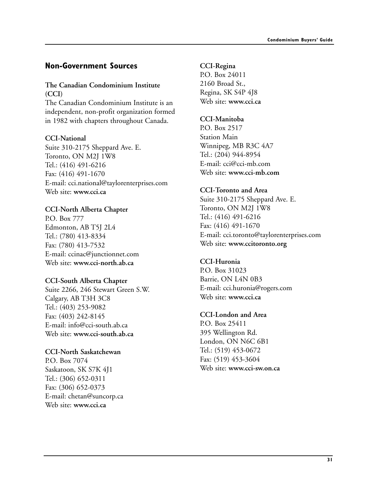## **Non-Government Sources**

#### **The Canadian Condominium Institute (CCI)**

The Canadian Condominium Institute is an independent, non-profit organization formed in 1982 with chapters throughout Canada.

### **CCI-National**

Suite 310-2175 Sheppard Ave. E. Toronto, ON M2J 1W8 Tel.: (416) 491-6216 Fax: (416) 491-1670 E-mail: cci.national@taylorenterprises.com Web site: **www.cci.ca**

## **CCI-North Alberta Chapter**

P.O. Box 777 Edmonton, AB T5J 2L4 Tel.: (780) 413-8334 Fax: (780) 413-7532 E-mail: ccinac@junctionnet.com Web site: **www.cci-north.ab.ca**

#### **CCI-South Alberta Chapter**

Suite 2266, 246 Stewart Green S.W. Calgary, AB T3H 3C8 Tel.: (403) 253-9082 Fax: (403) 242-8145 E-mail: info@cci-south.ab.ca Web site: **www.cci-south.ab.ca**

#### **CCI-North Saskatchewan**

P.O. Box 7074 Saskatoon, SK S7K 4J1 Tel.: (306) 652-0311 Fax: (306) 652-0373 E-mail: chetan@suncorp.ca Web site: **www.cci.ca** 

## **CCI-Regina**

P.O. Box 24011 2160 Broad St., Regina, SK S4P 4J8 Web site: **www.cci.ca**

## **CCI-Manitoba**

P.O. Box 2517 Station Main Winnipeg, MB R3C 4A7 Tel.: (204) 944-8954 E-mail: cci@cci-mb.com Web site: **www.cci-mb.com**

### **CCI-Toronto and Area**

Suite 310-2175 Sheppard Ave. E. Toronto, ON M2J 1W8 Tel.: (416) 491-6216 Fax: (416) 491-1670 E-mail: cci.toronto@taylorenterprises.com Web site: **www.ccitoronto.org**

## **CCI-Huronia**

P.O. Box 31023 Barrie, ON L4N 0B3 E-mail: cci.huronia@rogers.com Web site: **www.cci.ca**

## **CCI-London and Area**

P.O. Box 25411 395 Wellington Rd. London, ON N6C 6B1 Tel.: (519) 453-0672 Fax: (519) 453-3604 Web site: **www.cci-sw.on.ca**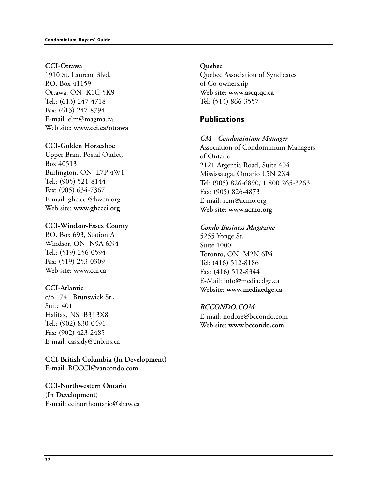#### **CCI-Ottawa**

1910 St. Laurent Blvd. P.O. Box 41159 Ottawa. ON K1G 5K9 Tel.: (613) 247-4718 Fax: (613) 247-8794 E-mail: elm@magma.ca Web site: **www.cci.ca/ottawa**

#### **CCI-Golden Horseshoe**

Upper Brant Postal Outlet, Box 40513 Burlington, ON L7P 4W1 Tel.: (905) 521-8144 Fax: (905) 634-7367 E-mail: ghc.cci@hwcn.org Web site: **www.ghccci.org**

#### **CCI-Windsor-Essex County**

P.O. Box 693, Station A Windsor, ON N9A 6N4 Tel.: (519) 256-0594 Fax: (519) 253-0309 Web site: **www.cci.ca**

#### **CCI-Atlantic**

c/o 1741 Brunswick St., Suite 401 Halifax, NS B3J 3X8 Tel.: (902) 830-0491 Fax: (902) 423-2485 E-mail: cassidy@cnb.ns.ca

#### **CCI-British Columbia (In Development)** E-mail: BCCCI@vancondo.com

**CCI-Northwestern Ontario (In Development)** E-mail: ccinorthontario@shaw.ca

#### **Quebec**

Quebec Association of Syndicates of Co-ownership Web site: **www.ascq.qc.ca** Tel: (514) 866-3557

## **Publications**

#### *CM - Condominium Manager*

Association of Condominium Managers of Ontario 2121 Argentia Road, Suite 404 Mississauga, Ontario L5N 2X4 Tel: (905) 826-6890, 1 800 265-3263 Fax: (905) 826-4873 E-mail: rcm@acmo.org Web site: **www.acmo.org**

#### *Condo Business Magazine*

5255 Yonge St. Suite 1000 Toronto, ON M2N 6P4 Tel: (416) 512-8186 Fax: (416) 512-8344 E-Mail: info@mediaedge.ca Website: **www.mediaedge.ca**

#### *BCCONDO.COM*

E-mail: nodoze@bccondo.com Web site: **www.bccondo.com**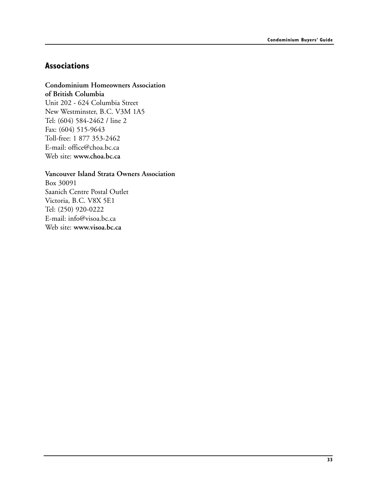## **Associations**

#### **Condominium Homeowners Association**

**of British Columbia** Unit 202 - 624 Columbia Street New Westminster, B.C. V3M 1A5 Tel: (604) 584-2462 / line 2 Fax: (604) 515-9643 Toll-free: 1 877 353-2462 E-mail: office@choa.bc.ca Web site: **www.choa.bc.ca**

## **Vancouver Island Strata Owners Association**

Box 30091 Saanich Centre Postal Outlet Victoria, B.C. V8X 5E1 Tel: (250) 920-0222 E-mail: info@visoa.bc.ca Web site: **www.visoa.bc.ca**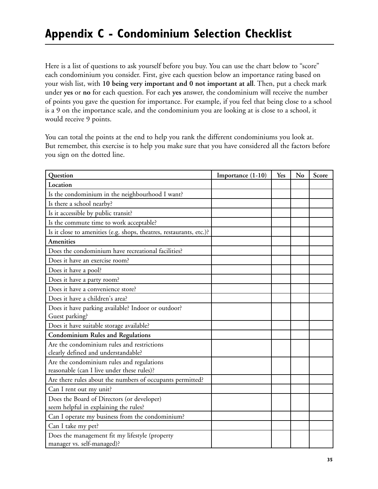# **Appendix C - Condominium Selection Checklist**

Here is a list of questions to ask yourself before you buy. You can use the chart below to "score" each condominium you consider. First, give each question below an importance rating based on your wish list, with **10 being very important and 0 not important at all**. Then, put a check mark under **yes** or **no** for each question. For each **yes** answer, the condominium will receive the number of points you gave the question for importance. For example, if you feel that being close to a school is a 9 on the importance scale, and the condominium you are looking at is close to a school, it would receive 9 points.

You can total the points at the end to help you rank the different condominiums you look at. But remember, this exercise is to help you make sure that you have considered all the factors before you sign on the dotted line.

| Question                                                                                | Importance (1-10) | Yes | No | Score |
|-----------------------------------------------------------------------------------------|-------------------|-----|----|-------|
| Location                                                                                |                   |     |    |       |
| Is the condominium in the neighbourhood I want?                                         |                   |     |    |       |
| Is there a school nearby?                                                               |                   |     |    |       |
| Is it accessible by public transit?                                                     |                   |     |    |       |
| Is the commute time to work acceptable?                                                 |                   |     |    |       |
| Is it close to amenities (e.g. shops, theatres, restaurants, etc.)?                     |                   |     |    |       |
| <b>Amenities</b>                                                                        |                   |     |    |       |
| Does the condominium have recreational facilities?                                      |                   |     |    |       |
| Does it have an exercise room?                                                          |                   |     |    |       |
| Does it have a pool?                                                                    |                   |     |    |       |
| Does it have a party room?                                                              |                   |     |    |       |
| Does it have a convenience store?                                                       |                   |     |    |       |
| Does it have a children's area?                                                         |                   |     |    |       |
| Does it have parking available? Indoor or outdoor?                                      |                   |     |    |       |
| Guest parking?                                                                          |                   |     |    |       |
| Does it have suitable storage available?                                                |                   |     |    |       |
| <b>Condominium Rules and Regulations</b>                                                |                   |     |    |       |
| Are the condominium rules and restrictions                                              |                   |     |    |       |
| clearly defined and understandable?                                                     |                   |     |    |       |
| Are the condominium rules and regulations<br>reasonable (can I live under these rules)? |                   |     |    |       |
| Are there rules about the numbers of occupants permitted?                               |                   |     |    |       |
| Can I rent out my unit?                                                                 |                   |     |    |       |
| Does the Board of Directors (or developer)                                              |                   |     |    |       |
| seem helpful in explaining the rules?                                                   |                   |     |    |       |
| Can I operate my business from the condominium?                                         |                   |     |    |       |
| Can I take my pet?                                                                      |                   |     |    |       |
| Does the management fit my lifestyle (property<br>manager vs. self-managed)?            |                   |     |    |       |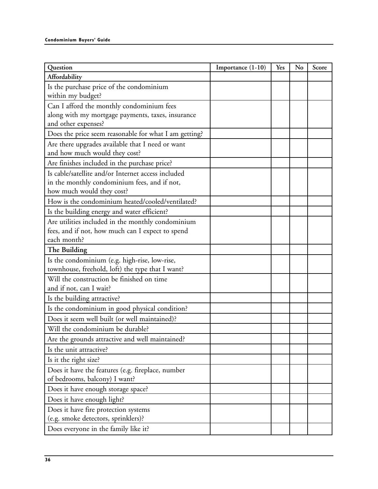| Question                                                                          | Importance (1-10) | Yes | No | Score |
|-----------------------------------------------------------------------------------|-------------------|-----|----|-------|
| Affordability                                                                     |                   |     |    |       |
| Is the purchase price of the condominium<br>within my budget?                     |                   |     |    |       |
| Can I afford the monthly condominium fees                                         |                   |     |    |       |
| along with my mortgage payments, taxes, insurance                                 |                   |     |    |       |
| and other expenses?                                                               |                   |     |    |       |
| Does the price seem reasonable for what I am getting?                             |                   |     |    |       |
| Are there upgrades available that I need or want<br>and how much would they cost? |                   |     |    |       |
| Are finishes included in the purchase price?                                      |                   |     |    |       |
| Is cable/satellite and/or Internet access included                                |                   |     |    |       |
| in the monthly condominium fees, and if not,                                      |                   |     |    |       |
| how much would they cost?                                                         |                   |     |    |       |
| How is the condominium heated/cooled/ventilated?                                  |                   |     |    |       |
| Is the building energy and water efficient?                                       |                   |     |    |       |
| Are utilities included in the monthly condominium                                 |                   |     |    |       |
| fees, and if not, how much can I expect to spend                                  |                   |     |    |       |
| each month?                                                                       |                   |     |    |       |
| The Building                                                                      |                   |     |    |       |
| Is the condominium (e.g. high-rise, low-rise,                                     |                   |     |    |       |
| townhouse, freehold, loft) the type that I want?                                  |                   |     |    |       |
| Will the construction be finished on time                                         |                   |     |    |       |
| and if not, can I wait?                                                           |                   |     |    |       |
| Is the building attractive?                                                       |                   |     |    |       |
| Is the condominium in good physical condition?                                    |                   |     |    |       |
| Does it seem well built (or well maintained)?                                     |                   |     |    |       |
| Will the condominium be durable?                                                  |                   |     |    |       |
| Are the grounds attractive and well maintained?                                   |                   |     |    |       |
| Is the unit attractive?                                                           |                   |     |    |       |
| Is it the right size?                                                             |                   |     |    |       |
| Does it have the features (e.g. fireplace, number                                 |                   |     |    |       |
| of bedrooms, balcony) I want?                                                     |                   |     |    |       |
| Does it have enough storage space?                                                |                   |     |    |       |
| Does it have enough light?                                                        |                   |     |    |       |
| Does it have fire protection systems                                              |                   |     |    |       |
| (e.g. smoke detectors, sprinklers)?                                               |                   |     |    |       |
| Does everyone in the family like it?                                              |                   |     |    |       |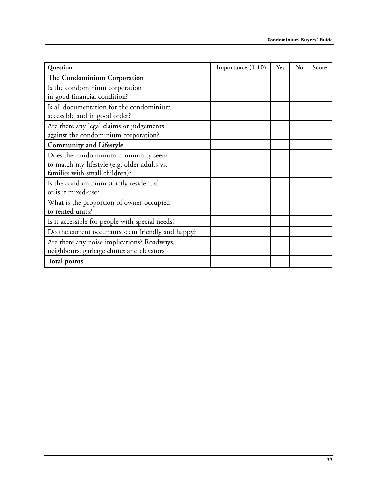| Question                                          | Importance (1-10) | Yes | No | Score |
|---------------------------------------------------|-------------------|-----|----|-------|
| The Condominium Corporation                       |                   |     |    |       |
| Is the condominium corporation                    |                   |     |    |       |
| in good financial condition?                      |                   |     |    |       |
| Is all documentation for the condominium          |                   |     |    |       |
| accessible and in good order?                     |                   |     |    |       |
| Are there any legal claims or judgements          |                   |     |    |       |
| against the condominium corporation?              |                   |     |    |       |
| <b>Community and Lifestyle</b>                    |                   |     |    |       |
| Does the condominium community seem               |                   |     |    |       |
| to match my lifestyle (e.g. older adults vs.      |                   |     |    |       |
| families with small children)?                    |                   |     |    |       |
| Is the condominium strictly residential,          |                   |     |    |       |
| or is it mixed-use?                               |                   |     |    |       |
| What is the proportion of owner-occupied          |                   |     |    |       |
| to rented units?                                  |                   |     |    |       |
| Is it accessible for people with special needs?   |                   |     |    |       |
| Do the current occupants seem friendly and happy? |                   |     |    |       |
| Are there any noise implications? Roadways,       |                   |     |    |       |
| neighbours, garbage chutes and elevators          |                   |     |    |       |
| <b>Total points</b>                               |                   |     |    |       |